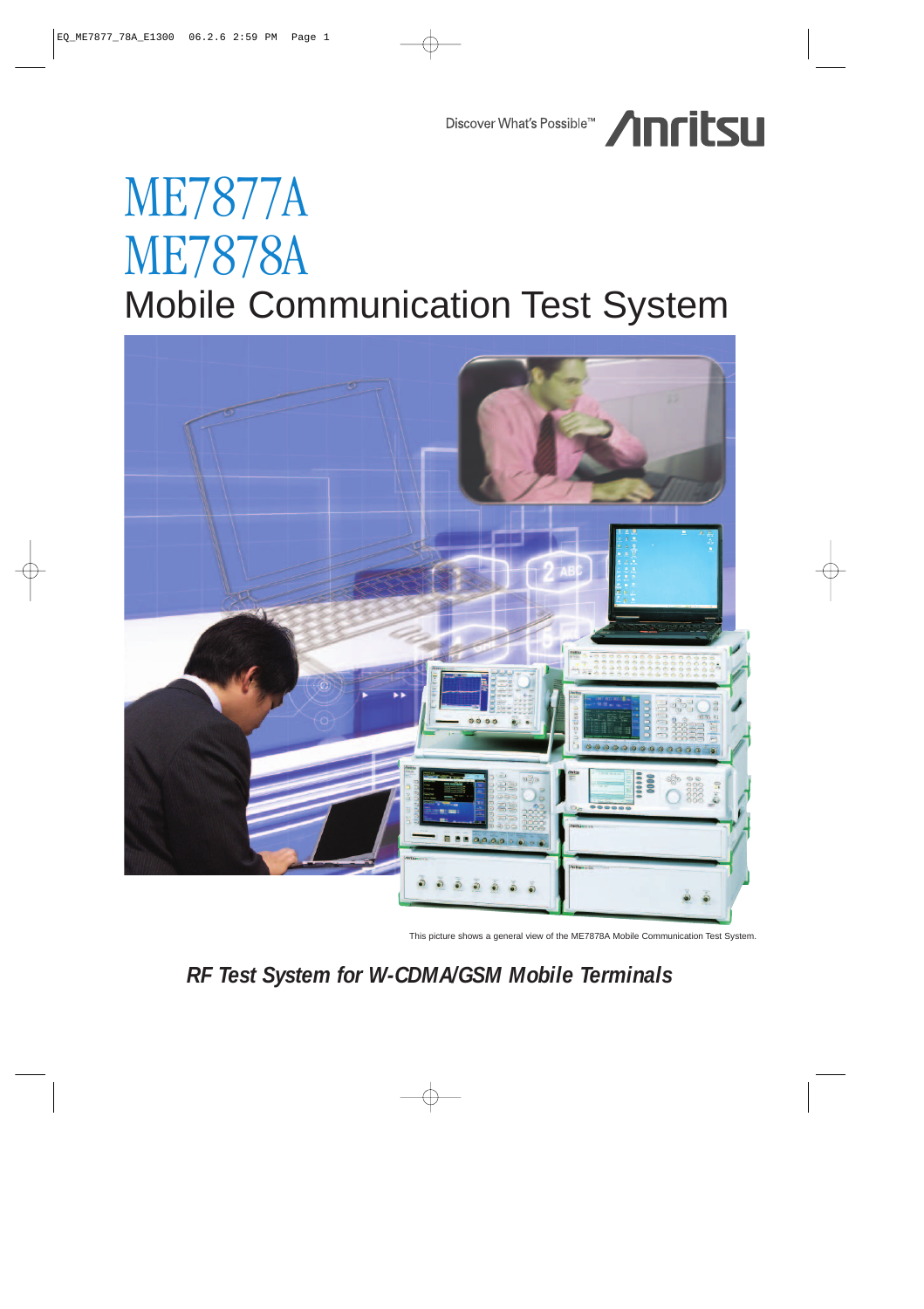Discover What's Possible<sup>TM</sup> /InritsLI

# ME7877A ME7878A Mobile Communication Test System



This picture shows a general view of the ME7878A Mobile Communication Test System.

# *RF Test System for W-CDMA/GSM Mobile Terminals*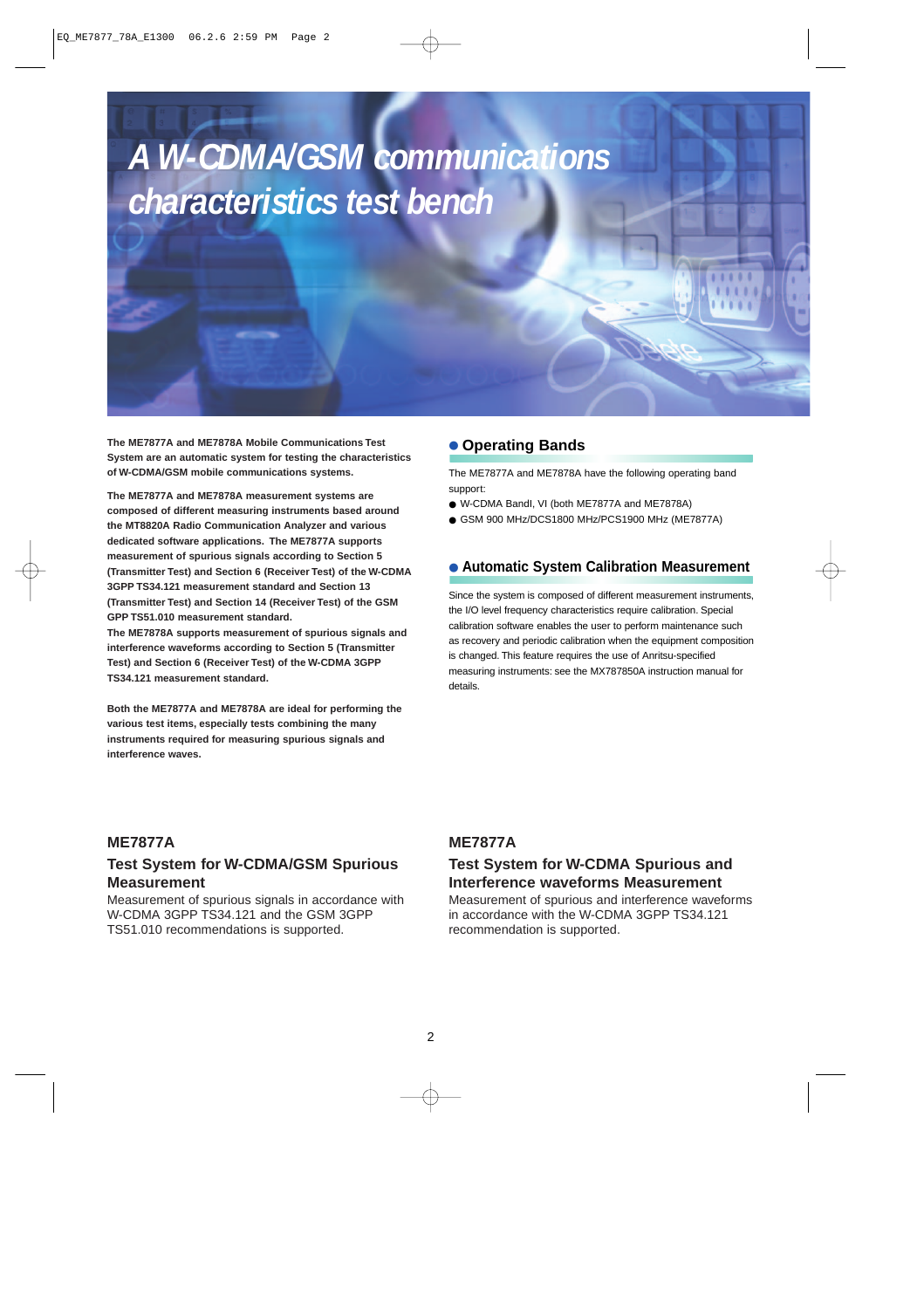# *A W-CDMA/GSM communications characteristics test bench*

**The ME7877A and ME7878A Mobile Communications Test System are an automatic system for testing the characteristics of W-CDMA/GSM mobile communications systems.**

**The ME7877A and ME7878A measurement systems are composed of different measuring instruments based around the MT8820A Radio Communication Analyzer and various dedicated software applications. The ME7877A supports measurement of spurious signals according to Section 5 (Transmitter Test) and Section 6 (Receiver Test) of the W-CDMA 3GPP TS34.121 measurement standard and Section 13 (Transmitter Test) and Section 14 (Receiver Test) of the GSM GPP TS51.010 measurement standard.**

**The ME7878A supports measurement of spurious signals and interference waveforms according to Section 5 (Transmitter Test) and Section 6 (Receiver Test) of the W-CDMA 3GPP TS34.121 measurement standard.**

**Both the ME7877A and ME7878A are ideal for performing the various test items, especially tests combining the many instruments required for measuring spurious signals and interference waves.**

## ● **Operating Bands**

The ME7877A and ME7878A have the following operating band support:

- W-CDMA BandI, VI (both ME7877A and ME7878A)
- GSM 900 MHz/DCS1800 MHz/PCS1900 MHz (ME7877A)

#### ● **Automatic System Calibration Measurement**

Since the system is composed of different measurement instruments, the I/O level frequency characteristics require calibration. Special calibration software enables the user to perform maintenance such as recovery and periodic calibration when the equipment composition is changed. This feature requires the use of Anritsu-specified measuring instruments: see the MX787850A instruction manual for details.

#### **ME7877A**

## **Test System for W-CDMA/GSM Spurious Measurement**

Measurement of spurious signals in accordance with W-CDMA 3GPP TS34.121 and the GSM 3GPP TS51.010 recommendations is supported.

#### **ME7877A**

# **Test System for W-CDMA Spurious and Interference waveforms Measurement**

Measurement of spurious and interference waveforms in accordance with the W-CDMA 3GPP TS34.121 recommendation is supported.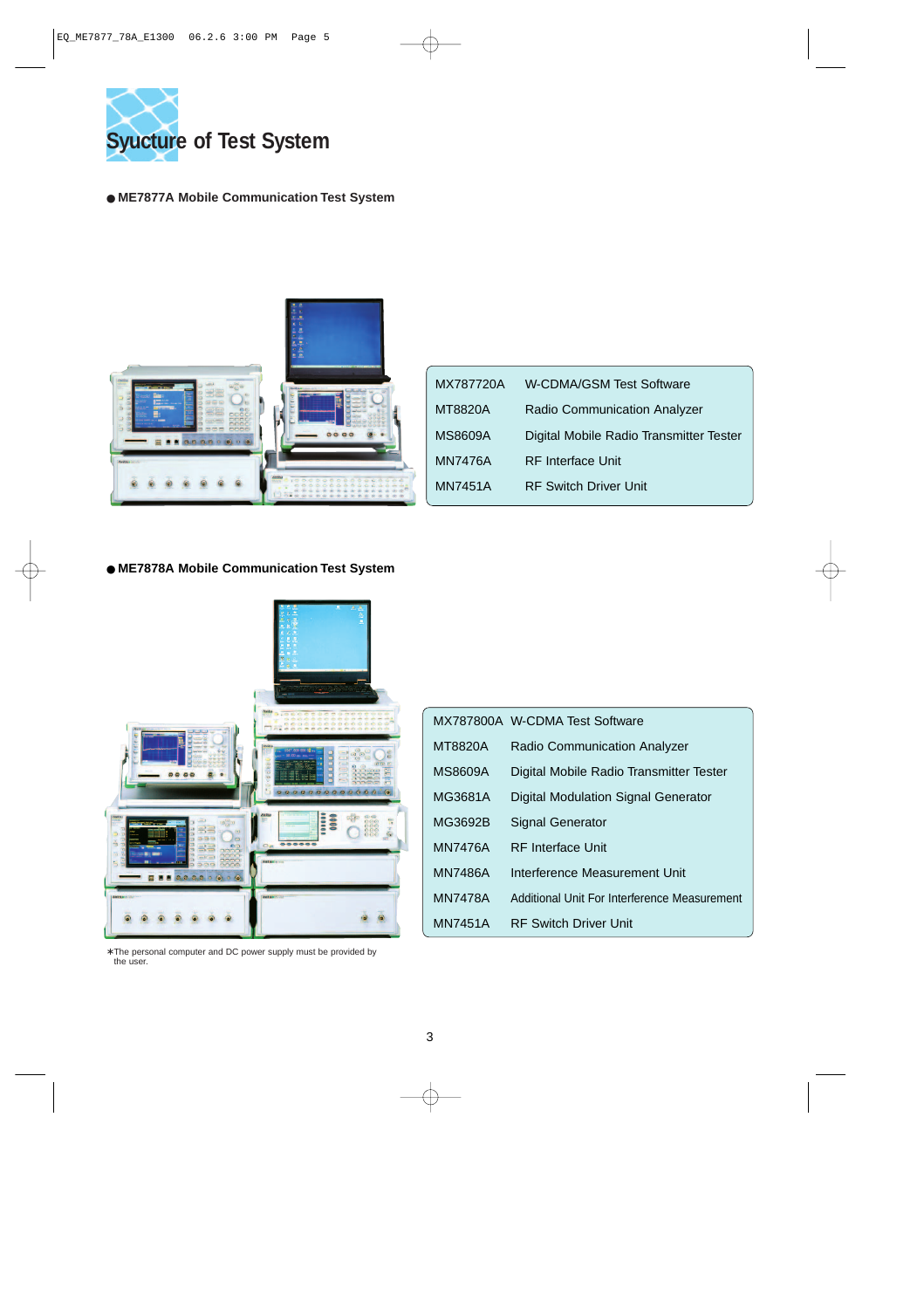

#### ● **ME7877A Mobile Communication Test System**



| MX787720A      | W-CDMA/GSM Test Software                |
|----------------|-----------------------------------------|
| MT8820A        | Radio Communication Analyzer            |
| <b>MS8609A</b> | Digital Mobile Radio Transmitter Tester |
| <b>MN7476A</b> | <b>RF</b> Interface Unit                |
| MN7451A        | <b>RF Switch Driver Unit</b>            |

#### ● **ME7878A Mobile Communication Test System**



∗ The personal computer and DC power supply must be provided by the user.

|                | MX787800A W-CDMA Test Software               |
|----------------|----------------------------------------------|
| MT8820A        | <b>Radio Communication Analyzer</b>          |
| <b>MS8609A</b> | Digital Mobile Radio Transmitter Tester      |
| MG3681A        | <b>Digital Modulation Signal Generator</b>   |
| MG3692B        | <b>Signal Generator</b>                      |
| <b>MN7476A</b> | <b>RF</b> Interface Unit                     |
| <b>MN7486A</b> | Interference Measurement Unit                |
| <b>MN7478A</b> | Additional Unit For Interference Measurement |
| <b>MN7451A</b> | <b>RF Switch Driver Unit</b>                 |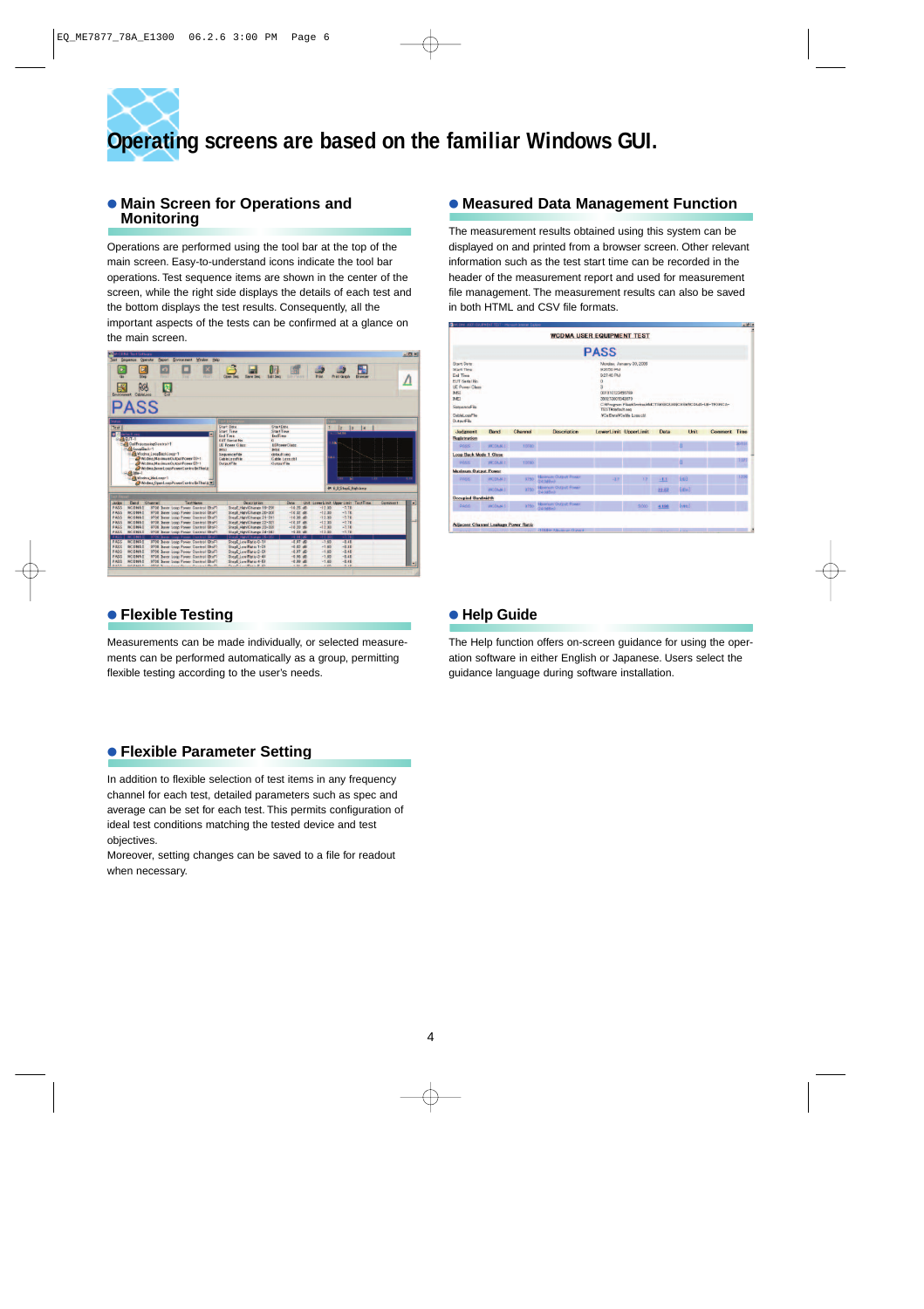# **Operating screens are based on the familiar Windows GUI.**

#### ● **Main Screen for Operations and Monitoring**

Operations are performed using the tool bar at the top of the main screen. Easy-to-understand icons indicate the tool bar operations. Test sequence items are shown in the center of the screen, while the right side displays the details of each test and the bottom displays the test results. Consequently, all the important aspects of the tests can be confirmed at a glance on the main screen.

| <b>CE Al-CDMA Test Sistemen</b><br><b>Sequence</b> | Operator                                         |                                                                                                                                                                                                         | <b>Broott</b> Environment            | Window    | Help |                                                                                                                                                       |                                                                                                                           |               |                     |                                                                     |                  |         | $ \Box$ |
|----------------------------------------------------|--------------------------------------------------|---------------------------------------------------------------------------------------------------------------------------------------------------------------------------------------------------------|--------------------------------------|-----------|------|-------------------------------------------------------------------------------------------------------------------------------------------------------|---------------------------------------------------------------------------------------------------------------------------|---------------|---------------------|---------------------------------------------------------------------|------------------|---------|---------|
| <b>Sept</b><br>в<br>Environment                    | $\mathbf{p}$<br><b>QQ4</b><br>CableLoss          | Ν                                                                                                                                                                                                       |                                      |           |      | <b>Save Sec</b><br><b>Clown Sat</b>                                                                                                                   | <b>Edit Sep</b>                                                                                                           |               | Print               | <b>Print Graph</b>                                                  |                  |         |         |
| <b>PASS</b>                                        |                                                  |                                                                                                                                                                                                         |                                      |           |      |                                                                                                                                                       |                                                                                                                           |               |                     |                                                                     |                  |         |         |
| hahas<br>Test<br>o<br>default and<br>$-1$          | -AltoopBack-1<br>$Ate-1$<br>Gill Wedna IdeLogg-1 | CaliFrecessingControl-1<br>Wedne LoopBackLoop-1<br>Modela Maximum Output Power (1)-1<br>Modela Nacimum Output Power (2)-1<br>Wedna Iveer LoopPawerControllsThelic<br>Wedna OpenLoapPawerContrathThetE = |                                      |           | в    | Start Date<br><b>Start Time</b><br>End Time<br>EUT Serial No.<br><b>LIE Power Class</b><br>3451<br><b>SequenceFile</b><br>CabletoweFile<br>OutputFile | Start Date<br>Start Tieve<br>EndTime<br><b>UEPowerClass</b><br>M51<br>default seg<br><b>Cable Less.cbl</b><br>Outmat File |               | is i                | $ z $  3  4<br><b>COMPANY</b><br>.,<br><b>JA 60 Steps High brep</b> |                  |         |         |
| <b>Judge</b>                                       | Bend                                             | Channell                                                                                                                                                                                                |                                      | Text Name |      | Department                                                                                                                                            | Data                                                                                                                      |               |                     | Unit LowerLinit UpperLinit                                          | <b>Tast Time</b> | Gemmant | ▫       |
| PASS                                               | <b>WCDMA1</b>                                    | <b>U738 Juver Loop Fower Control (EtoF)</b>                                                                                                                                                             |                                      |           |      | StagE High Change 19-20)                                                                                                                              | $-10.25.68$                                                                                                               |               | $-12.30$            | $-7.7D$                                                             |                  |         |         |
| <b>PASS</b>                                        | <b>I AND DMA!</b>                                | 9738 Irner Loop Power Control (EtoT)                                                                                                                                                                    |                                      |           |      | ShepE High Change 20-30)                                                                                                                              | $-10.32$ dB                                                                                                               |               | $-12.30$            | $-7.70$                                                             |                  |         |         |
| <b>PARS</b>                                        | <b>WCDMA1</b>                                    | 9738 Juner Loca Power Control (EtaF)                                                                                                                                                                    |                                      |           |      | StepE High Change 21-317                                                                                                                              | $-10.38$ dB                                                                                                               |               | $-12.30$            | $-7.30$                                                             |                  |         |         |
| PASS<br>PASS                                       | <b>WODMAT</b><br><b>WODMA1</b>                   | 9738 Jener Loca Fower Control (EtoF)<br>9738 Jones Logo Power Control (Fto F)                                                                                                                           |                                      |           |      | StepE High Change 22-321<br>StepE High Change 23-337                                                                                                  | $-18.97.68$<br>$-10.20$ cm                                                                                                |               | $-1230$<br>$-12.38$ | $-7.70$<br>$-7.70$                                                  |                  |         |         |
| PASS                                               | <b>WCDMA</b>                                     | 0708 Inver Loop Power Control (Etal)                                                                                                                                                                    |                                      |           |      | ShapE High Change 24-347                                                                                                                              | $-9.93 - 48$                                                                                                              |               | $-12.90$            | $-7.70$                                                             |                  |         |         |
| PASS                                               | <b>WODMA!</b>                                    | 9708 kner Leop Power Control (Eto F)                                                                                                                                                                    |                                      |           |      | StepE High Change 25-357                                                                                                                              |                                                                                                                           | $-9.94$ ( $E$ | $-12.30$            | $-7.70$                                                             |                  |         |         |
| <b>PASS</b>                                        | WODMA!                                           | <b>8738 Irver Loco Power Control (EtoF)</b>                                                                                                                                                             |                                      |           |      | StepE Low(Ratio 0-1)                                                                                                                                  | $-0.07$ dB                                                                                                                |               | $-1.60$             | $-0.4D$                                                             |                  |         |         |
| PASS                                               | <b>WCDMA1</b>                                    | 9728 Jonet Logg Power Control (EtgF)                                                                                                                                                                    |                                      |           |      | StupE Low(Ratio 1-2)                                                                                                                                  | $-0.02$ dB                                                                                                                |               | $-1.01$             | $-0.40$                                                             |                  |         |         |
|                                                    |                                                  |                                                                                                                                                                                                         | 9738 Jimer Logg Power Control (EtaF) |           |      | ShepE Low(Ratio 2-3)                                                                                                                                  | $-0.07$ dB                                                                                                                |               | $-1.60$             | $-0.40$                                                             |                  |         |         |
|                                                    |                                                  |                                                                                                                                                                                                         |                                      |           |      |                                                                                                                                                       |                                                                                                                           |               |                     |                                                                     |                  |         |         |
| PARS<br><b>PASS</b>                                | <b>WCDMA1</b><br><b>WODMAT</b>                   | 8738 Inner 1400 Fower Control (EtoT)                                                                                                                                                                    |                                      |           |      | StepE Low(Ratio 3-4)                                                                                                                                  | $-195.08$                                                                                                                 |               | $-1.60$             | $-0.40$                                                             |                  |         |         |
| PARS                                               | <b>WODMAT</b>                                    | 9738 Joner Loop Power Control (Etal)                                                                                                                                                                    |                                      |           |      | StusE Lon(Ratio 4-5)                                                                                                                                  | $-0.001 +$                                                                                                                |               | $-1.60$             | $-0.40$                                                             |                  |         |         |

# ● **Flexible Testing**

Measurements can be made individually, or selected measurements can be performed automatically as a group, permitting flexible testing according to the user's needs.

## ● **Measured Data Management Function**

The measurement results obtained using this system can be displayed on and printed from a browser screen. Other relevant information such as the test start time can be recorded in the header of the measurement report and used for measurement file management. The measurement results can also be saved in both HTML and CSV file formats.

|                                                                                                                                                                               |          |         | <b>WCDMA USER EQUIPMENT TEST</b>         |                                                                                              |                                                                                                                        |       |              |              |        |
|-------------------------------------------------------------------------------------------------------------------------------------------------------------------------------|----------|---------|------------------------------------------|----------------------------------------------------------------------------------------------|------------------------------------------------------------------------------------------------------------------------|-------|--------------|--------------|--------|
|                                                                                                                                                                               |          |         |                                          | <b>PASS</b>                                                                                  |                                                                                                                        |       |              |              |        |
| Start Date<br>Start Time<br><b>Erel Times</b><br><b>EUT Serial No.</b><br><b>UE Power Olses</b><br><b>INASE</b><br>$19.6 - 1$<br>SequenceFile<br>Cablel outFile<br>OutputFile |          |         |                                          | 9:26:50 PM<br><b>92740 PM</b><br>n<br>001010123456789<br>200223001543870<br>TEST¥default.com | Monday, January 30, 2006<br>C.NProgram FilesVAmitsu/ANCTSVSEQUENCESNNCDMA-UE-TRXRCA-<br><b>WCa DataWCable Loss chi</b> |       |              |              |        |
| Judament                                                                                                                                                                      | Band     | Channel | Description                              |                                                                                              | LowerLimit UpperLimit                                                                                                  | Data  | <b>Linit</b> | Comment Time |        |
| Registration                                                                                                                                                                  |          |         |                                          |                                                                                              |                                                                                                                        |       |              |              |        |
| <b>PASS</b>                                                                                                                                                                   | WIDMAN 1 | 10000   |                                          |                                                                                              |                                                                                                                        |       | ö            |              | 30 101 |
| Loop Back Mode 1 Close                                                                                                                                                        |          |         |                                          |                                                                                              |                                                                                                                        |       |              |              |        |
| PASS                                                                                                                                                                          | WCDMW 1  | 10700   |                                          |                                                                                              |                                                                                                                        |       | n            |              | 7.077  |
| <b>Maximum Output Power</b>                                                                                                                                                   |          |         |                                          |                                                                                              |                                                                                                                        |       |              |              |        |
| <b>PASS</b>                                                                                                                                                                   | WODUN'T  | 9350    | <b>Manhouse Output Power</b><br>240000   | -17                                                                                          | 17                                                                                                                     | $-11$ | <b>GH3</b>   |              | 1.959  |
|                                                                                                                                                                               | WIDMAN 1 | 0350    | <b>Missinger Output Power</b><br>2400000 |                                                                                              |                                                                                                                        | 22.07 | [iffird]     |              |        |
| <b>Occupied Bandwidth</b>                                                                                                                                                     |          |         |                                          |                                                                                              |                                                                                                                        |       |              |              |        |
| PASS                                                                                                                                                                          | WODAN'T  | 0750-   | Millerium Oldguit Rower<br>(3404Be)      |                                                                                              | 5000                                                                                                                   | 4 198 | (need)       |              |        |
|                                                                                                                                                                               |          |         |                                          |                                                                                              |                                                                                                                        |       |              |              |        |
| <b>Adiacent Channel Leakage Power Ratio</b>                                                                                                                                   |          |         |                                          |                                                                                              |                                                                                                                        |       |              |              |        |

# ● **Help Guide**

The Help function offers on-screen guidance for using the operation software in either English or Japanese. Users select the guidance language during software installation.

# ● **Flexible Parameter Setting**

In addition to flexible selection of test items in any frequency channel for each test, detailed parameters such as spec and average can be set for each test. This permits configuration of ideal test conditions matching the tested device and test objectives.

Moreover, setting changes can be saved to a file for readout when necessary.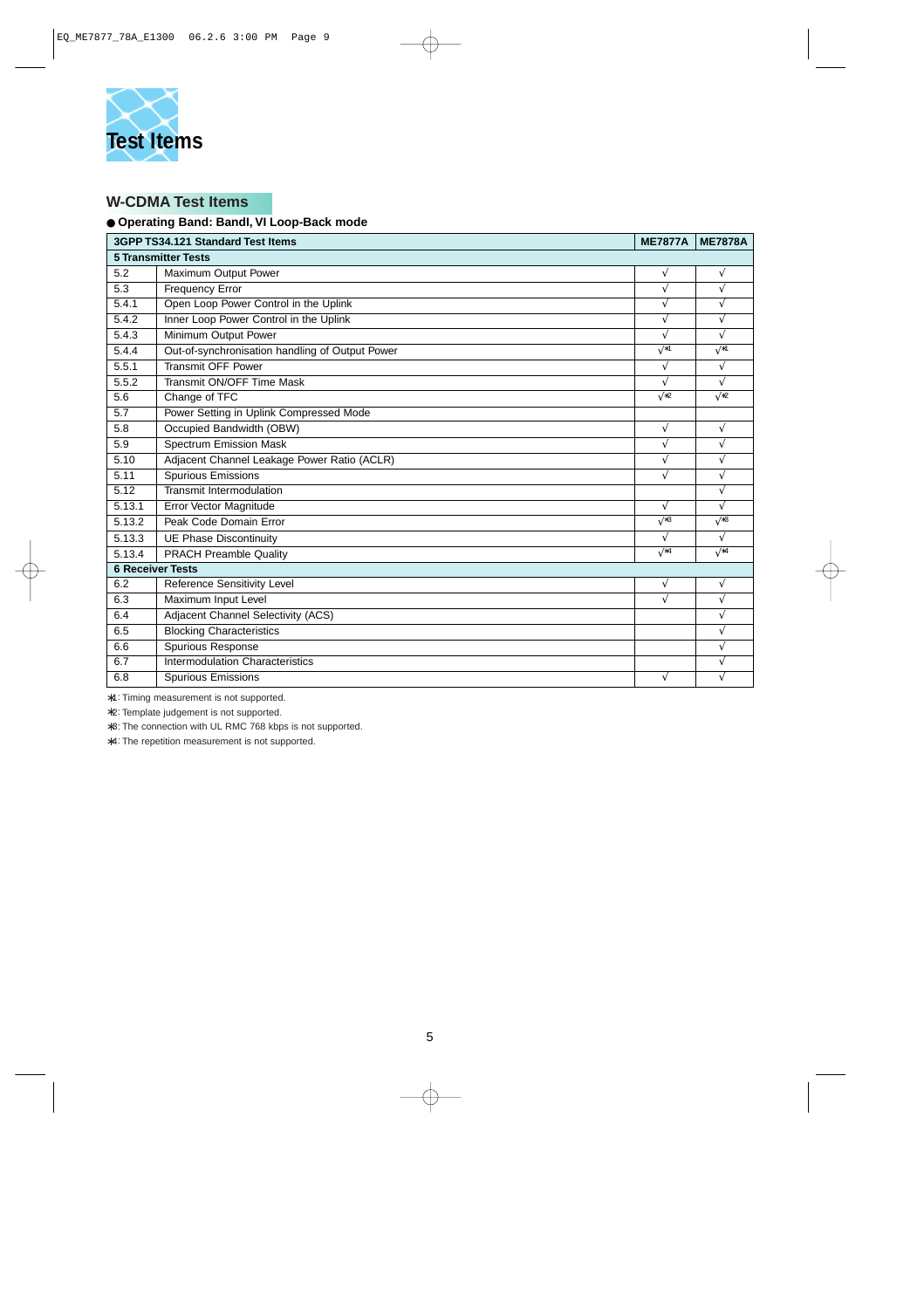

# **W-CDMA Test Items**

#### ● **Operating Band: BandI, VI Loop-Back mode**

| 3GPP TS34.121 Standard Test Items<br><b>ME7877A</b> |                                                 |             |             |  |  |  |  |
|-----------------------------------------------------|-------------------------------------------------|-------------|-------------|--|--|--|--|
|                                                     | <b>5 Transmitter Tests</b>                      |             |             |  |  |  |  |
| 5.2                                                 | <b>Maximum Output Power</b>                     | $\sqrt{}$   | $\sqrt{}$   |  |  |  |  |
| 5.3                                                 | <b>Frequency Error</b>                          | $\sqrt{}$   | V           |  |  |  |  |
| 5.4.1                                               | Open Loop Power Control in the Uplink           | $\sqrt{ }$  | V           |  |  |  |  |
| 5.4.2                                               | Inner Loop Power Control in the Uplink          | $\sqrt{}$   |             |  |  |  |  |
| 5.4.3                                               | Minimum Output Power                            | $\sqrt{ }$  | V           |  |  |  |  |
| 5.4.4                                               | Out-of-synchronisation handling of Output Power | $\sqrt{*1}$ | $\sqrt{*1}$ |  |  |  |  |
| 5.5.1                                               | <b>Transmit OFF Power</b>                       | $\sqrt{}$   | $\sqrt{ }$  |  |  |  |  |
| 5.5.2                                               | Transmit ON/OFF Time Mask                       | $\sqrt{}$   | V           |  |  |  |  |
| 5.6                                                 | Change of TFC                                   | $\sqrt{2}$  | $\sqrt{2}$  |  |  |  |  |
| 5.7                                                 | Power Setting in Uplink Compressed Mode         |             |             |  |  |  |  |
| 5.8                                                 | Occupied Bandwidth (OBW)                        | $\sqrt{}$   | V           |  |  |  |  |
| 5.9                                                 | <b>Spectrum Emission Mask</b>                   | $\sqrt{}$   | V           |  |  |  |  |
| 5.10                                                | Adjacent Channel Leakage Power Ratio (ACLR)     | V           | ٦l          |  |  |  |  |
| 5.11                                                | <b>Spurious Emissions</b>                       | $\sqrt{}$   | V           |  |  |  |  |
| 5.12                                                | Transmit Intermodulation                        |             |             |  |  |  |  |
| 5.13.1                                              | Error Vector Magnitude                          | $\sqrt{}$   |             |  |  |  |  |
| 5.13.2                                              | Peak Code Domain Error                          | $\sqrt{*3}$ | $\sqrt{*3}$ |  |  |  |  |
| 5.13.3                                              | <b>UE Phase Discontinuity</b>                   | $\sqrt{}$   | V           |  |  |  |  |
| 5.13.4                                              | <b>PRACH Preamble Quality</b>                   | $\sqrt{*4}$ | $\sqrt{*4}$ |  |  |  |  |
| <b>6 Receiver Tests</b>                             |                                                 |             |             |  |  |  |  |
| 6.2                                                 | Reference Sensitivity Level                     | $\sqrt{}$   | $\sqrt{}$   |  |  |  |  |
| 6.3                                                 | Maximum Input Level                             | $\sqrt{ }$  | V           |  |  |  |  |
| 6.4                                                 | Adjacent Channel Selectivity (ACS)              |             |             |  |  |  |  |
| 6.5                                                 | <b>Blocking Characteristics</b>                 |             |             |  |  |  |  |
| 6.6                                                 | Spurious Response                               |             | V           |  |  |  |  |
| 6.7                                                 | Intermodulation Characteristics                 |             | V           |  |  |  |  |
| 6.8                                                 | <b>Spurious Emissions</b>                       | V           |             |  |  |  |  |

∗1: Timing measurement is not supported.

∗2: Template judgement is not supported.

∗3: The connection with UL RMC 768 kbps is not supported.

∗4: The repetition measurement is not supported.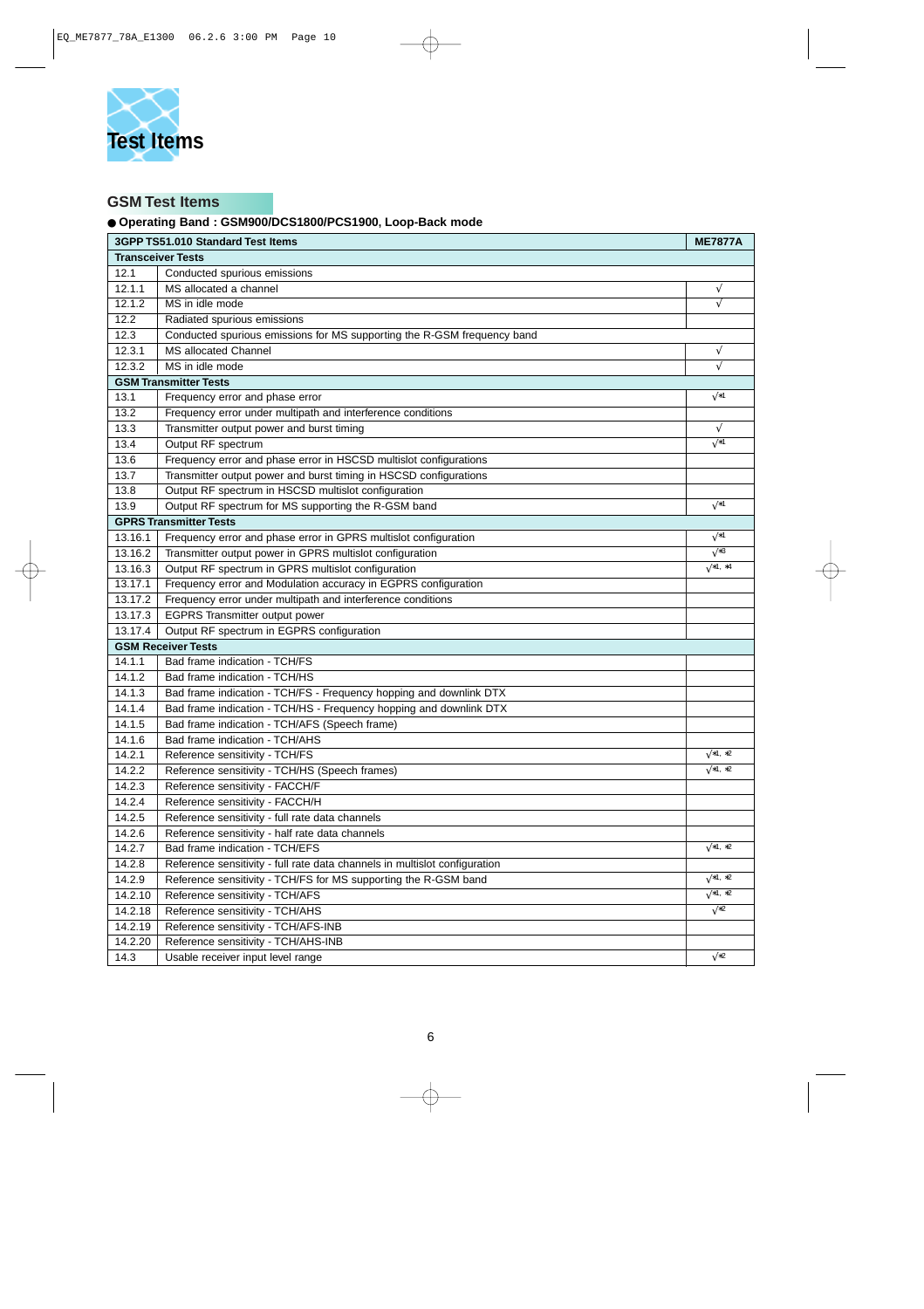

# **GSM Test Items**

#### ● **Operating Band : GSM900/DCS1800/PCS1900, Loop-Back mode**

| 3GPP TS51.010 Standard Test Items |                                                                            |                |
|-----------------------------------|----------------------------------------------------------------------------|----------------|
|                                   | <b>Transceiver Tests</b>                                                   |                |
| 12.1                              | Conducted spurious emissions                                               |                |
| 12.1.1                            | MS allocated a channel                                                     | $\sqrt{}$      |
| 12.1.2                            | MS in idle mode                                                            | $\sqrt{}$      |
| 12.2                              | Radiated spurious emissions                                                |                |
| 12.3                              | Conducted spurious emissions for MS supporting the R-GSM frequency band    |                |
| 12.3.1                            | <b>MS</b> allocated Channel                                                | $\sqrt{}$      |
| 12.3.2                            | MS in idle mode                                                            | $\sqrt{}$      |
|                                   | <b>GSM Transmitter Tests</b>                                               |                |
| 13.1                              | Frequency error and phase error                                            | √*1            |
| 13.2                              | Frequency error under multipath and interference conditions                |                |
| 13.3                              | Transmitter output power and burst timing                                  | $\sqrt{}$      |
| 13.4                              | Output RF spectrum                                                         | $\sqrt{*1}$    |
| 13.6                              | Frequency error and phase error in HSCSD multislot configurations          |                |
| 13.7                              | Transmitter output power and burst timing in HSCSD configurations          |                |
| 13.8                              | Output RF spectrum in HSCSD multislot configuration                        |                |
| 13.9                              | Output RF spectrum for MS supporting the R-GSM band                        | $\sqrt{*1}$    |
|                                   | <b>GPRS Transmitter Tests</b>                                              |                |
| 13.16.1                           | Frequency error and phase error in GPRS multislot configuration            | $\sqrt{*1}$    |
| 13.16.2                           | Transmitter output power in GPRS multislot configuration                   | $\sqrt*3$      |
| 13.16.3                           | Output RF spectrum in GPRS multislot configuration                         | $\sqrt{*1,*4}$ |
| 13.17.1                           | Frequency error and Modulation accuracy in EGPRS configuration             |                |
| 13.17.2                           | Frequency error under multipath and interference conditions                |                |
| 13.17.3                           | <b>EGPRS Transmitter output power</b>                                      |                |
| 13.17.4                           | Output RF spectrum in EGPRS configuration                                  |                |
|                                   | <b>GSM Receiver Tests</b>                                                  |                |
| 14.1.1                            | Bad frame indication - TCH/FS                                              |                |
| 14.1.2                            | Bad frame indication - TCH/HS                                              |                |
| 14.1.3                            | Bad frame indication - TCH/FS - Frequency hopping and downlink DTX         |                |
| 14.1.4                            | Bad frame indication - TCH/HS - Frequency hopping and downlink DTX         |                |
| 14.1.5                            | Bad frame indication - TCH/AFS (Speech frame)                              |                |
| 14.1.6                            | Bad frame indication - TCH/AHS                                             |                |
| 14.2.1                            | Reference sensitivity - TCH/FS                                             | $\sqrt{*1,*2}$ |
| 14.2.2                            | Reference sensitivity - TCH/HS (Speech frames)                             | $\sqrt{*1,*2}$ |
| 14.2.3                            | Reference sensitivity - FACCH/F                                            |                |
| 14.2.4                            | Reference sensitivity - FACCH/H                                            |                |
| 14.2.5                            | Reference sensitivity - full rate data channels                            |                |
| 14.2.6                            | Reference sensitivity - half rate data channels                            |                |
| 14.2.7                            | Bad frame indication - TCH/EFS                                             | $\sqrt{*1,*2}$ |
| 14.2.8                            | Reference sensitivity - full rate data channels in multislot configuration |                |
| 14.2.9                            | Reference sensitivity - TCH/FS for MS supporting the R-GSM band            | $\sqrt{*1,*2}$ |
| 14.2.10                           | Reference sensitivity - TCH/AFS                                            | $\sqrt{*1,*2}$ |
| 14.2.18                           | Reference sensitivity - TCH/AHS                                            | $\sqrt{2}$     |
| 14.2.19                           | Reference sensitivity - TCH/AFS-INB                                        |                |
| 14.2.20                           | Reference sensitivity - TCH/AHS-INB                                        |                |
| 14.3                              | Usable receiver input level range                                          | $\sqrt{2}$     |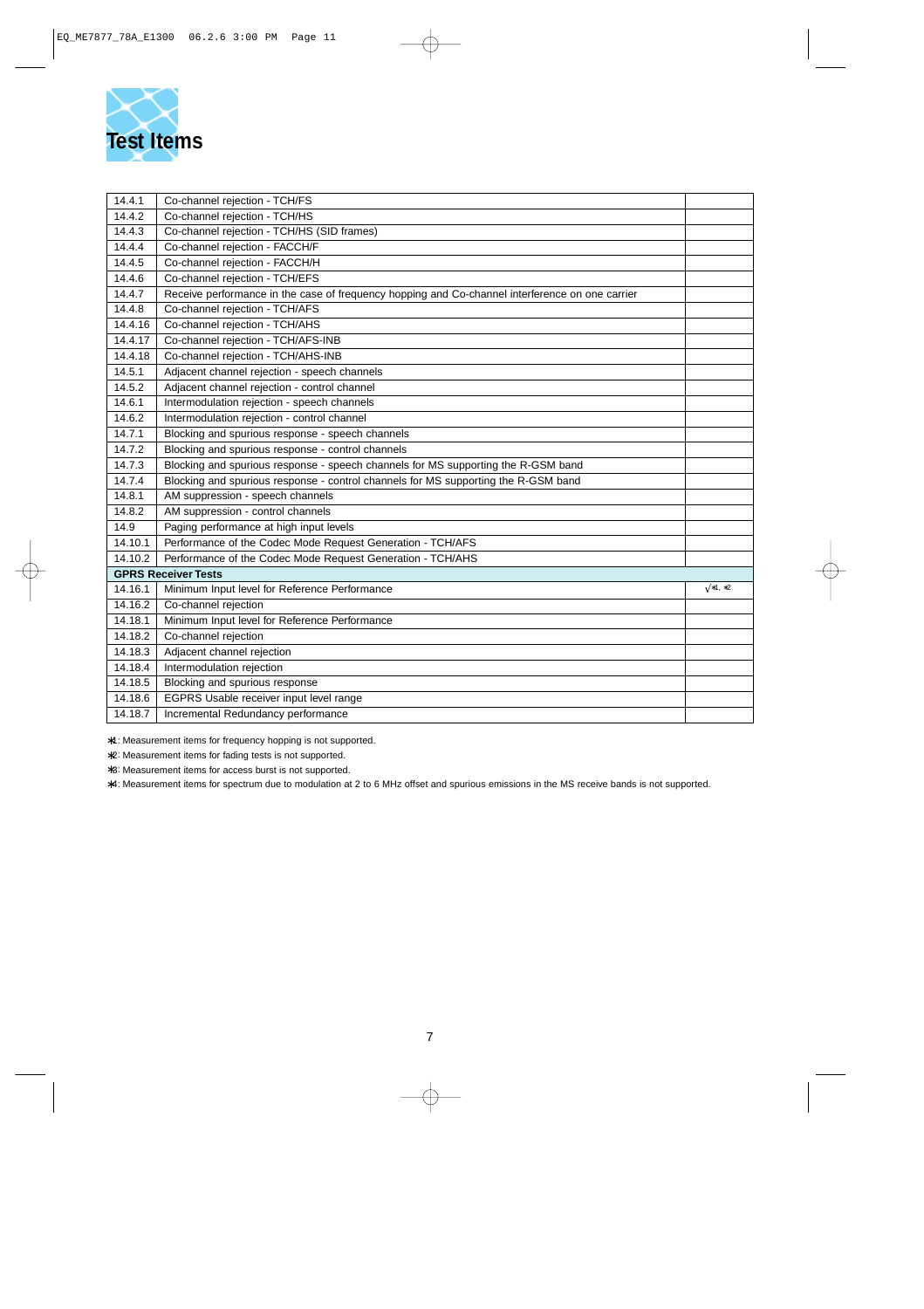

| 14.4.1  | Co-channel rejection - TCH/FS                                                                   |                |
|---------|-------------------------------------------------------------------------------------------------|----------------|
| 14.4.2  | Co-channel rejection - TCH/HS                                                                   |                |
| 14.4.3  | Co-channel rejection - TCH/HS (SID frames)                                                      |                |
| 14.4.4  | Co-channel rejection - FACCH/F                                                                  |                |
| 14.4.5  | Co-channel rejection - FACCH/H                                                                  |                |
| 14.4.6  | Co-channel rejection - TCH/EFS                                                                  |                |
| 14.4.7  | Receive performance in the case of frequency hopping and Co-channel interference on one carrier |                |
| 14.4.8  | Co-channel rejection - TCH/AFS                                                                  |                |
| 14.4.16 | Co-channel rejection - TCH/AHS                                                                  |                |
| 14.4.17 | Co-channel rejection - TCH/AFS-INB                                                              |                |
| 14.4.18 | Co-channel rejection - TCH/AHS-INB                                                              |                |
| 14.5.1  | Adjacent channel rejection - speech channels                                                    |                |
| 14.5.2  | Adjacent channel rejection - control channel                                                    |                |
| 14.6.1  | Intermodulation rejection - speech channels                                                     |                |
| 14.6.2  | Intermodulation rejection - control channel                                                     |                |
| 14.7.1  | Blocking and spurious response - speech channels                                                |                |
| 14.7.2  | Blocking and spurious response - control channels                                               |                |
| 14.7.3  | Blocking and spurious response - speech channels for MS supporting the R-GSM band               |                |
| 14.7.4  | Blocking and spurious response - control channels for MS supporting the R-GSM band              |                |
| 14.8.1  | AM suppression - speech channels                                                                |                |
| 14.8.2  | AM suppression - control channels                                                               |                |
| 14.9    | Paging performance at high input levels                                                         |                |
| 14.10.1 | Performance of the Codec Mode Request Generation - TCH/AFS                                      |                |
| 14.10.2 | Performance of the Codec Mode Request Generation - TCH/AHS                                      |                |
|         | <b>GPRS Receiver Tests</b>                                                                      |                |
| 14.16.1 | Minimum Input level for Reference Performance                                                   | $\sqrt{*1,*2}$ |
| 14.16.2 | Co-channel rejection                                                                            |                |
| 14.18.1 | Minimum Input level for Reference Performance                                                   |                |
| 14.18.2 | Co-channel rejection                                                                            |                |
| 14.18.3 | Adjacent channel rejection                                                                      |                |
| 14.18.4 | Intermodulation rejection                                                                       |                |
| 14.18.5 | Blocking and spurious response                                                                  |                |
| 14.18.6 | EGPRS Usable receiver input level range                                                         |                |
| 14.18.7 | Incremental Redundancy performance                                                              |                |

∗1: Measurement items for frequency hopping is not supported.

∗2: Measurement items for fading tests is not supported.

∗3: Measurement items for access burst is not supported.

∗4: Measurement items for spectrum due to modulation at 2 to 6 MHz offset and spurious emissions in the MS receive bands is not supported.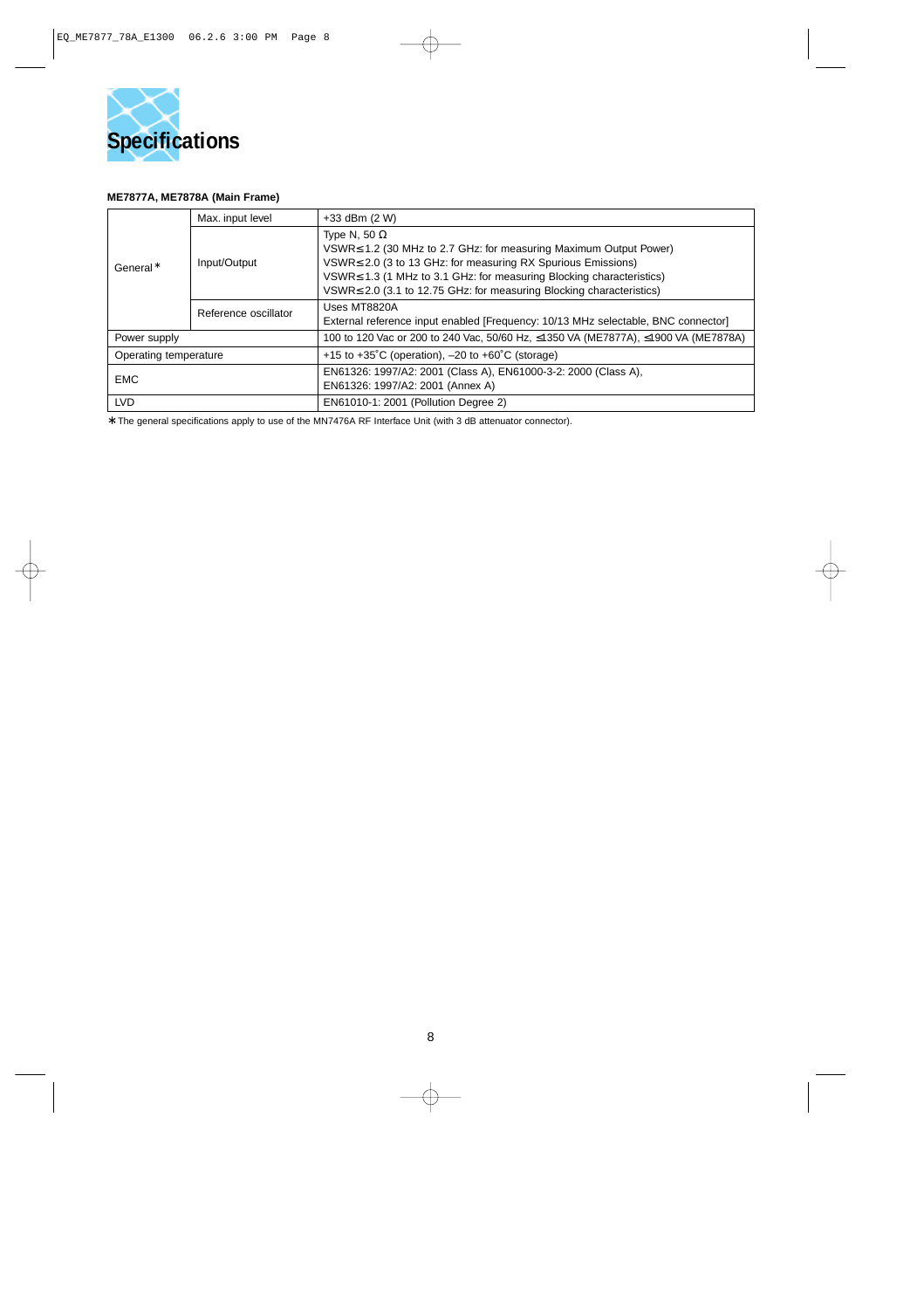

#### **ME7877A, ME7878A (Main Frame)**

| General*              | Max. input level     | $+33$ dBm $(2 W)$                                                                                                                                                                                                                                                                                                          |  |  |
|-----------------------|----------------------|----------------------------------------------------------------------------------------------------------------------------------------------------------------------------------------------------------------------------------------------------------------------------------------------------------------------------|--|--|
|                       | Input/Output         | Type N, 50 $\Omega$<br>$VSWR \leq 1.2$ (30 MHz to 2.7 GHz: for measuring Maximum Output Power)<br>$VSWR \leq 2.0$ (3 to 13 GHz: for measuring RX Spurious Emissions)<br>VSWR≤ 1.3 (1 MHz to 3.1 GHz: for measuring Blocking characteristics)<br>$VSWR \leq 2.0$ (3.1 to 12.75 GHz: for measuring Blocking characteristics) |  |  |
|                       | Reference oscillator | Uses MT8820A<br>External reference input enabled [Frequency: 10/13 MHz selectable, BNC connector]                                                                                                                                                                                                                          |  |  |
| Power supply          |                      | 100 to 120 Vac or 200 to 240 Vac, 50/60 Hz, ≤1350 VA (ME7877A), ≤1900 VA (ME7878A)                                                                                                                                                                                                                                         |  |  |
| Operating temperature |                      | +15 to +35°C (operation), $-20$ to +60°C (storage)                                                                                                                                                                                                                                                                         |  |  |
| <b>EMC</b>            |                      | EN61326: 1997/A2: 2001 (Class A), EN61000-3-2: 2000 (Class A),<br>EN61326: 1997/A2: 2001 (Annex A)                                                                                                                                                                                                                         |  |  |
| <b>LVD</b>            |                      | EN61010-1: 2001 (Pollution Degree 2)                                                                                                                                                                                                                                                                                       |  |  |

∗: The general specifications apply to use of the MN7476A RF Interface Unit (with 3 dB attenuator connector).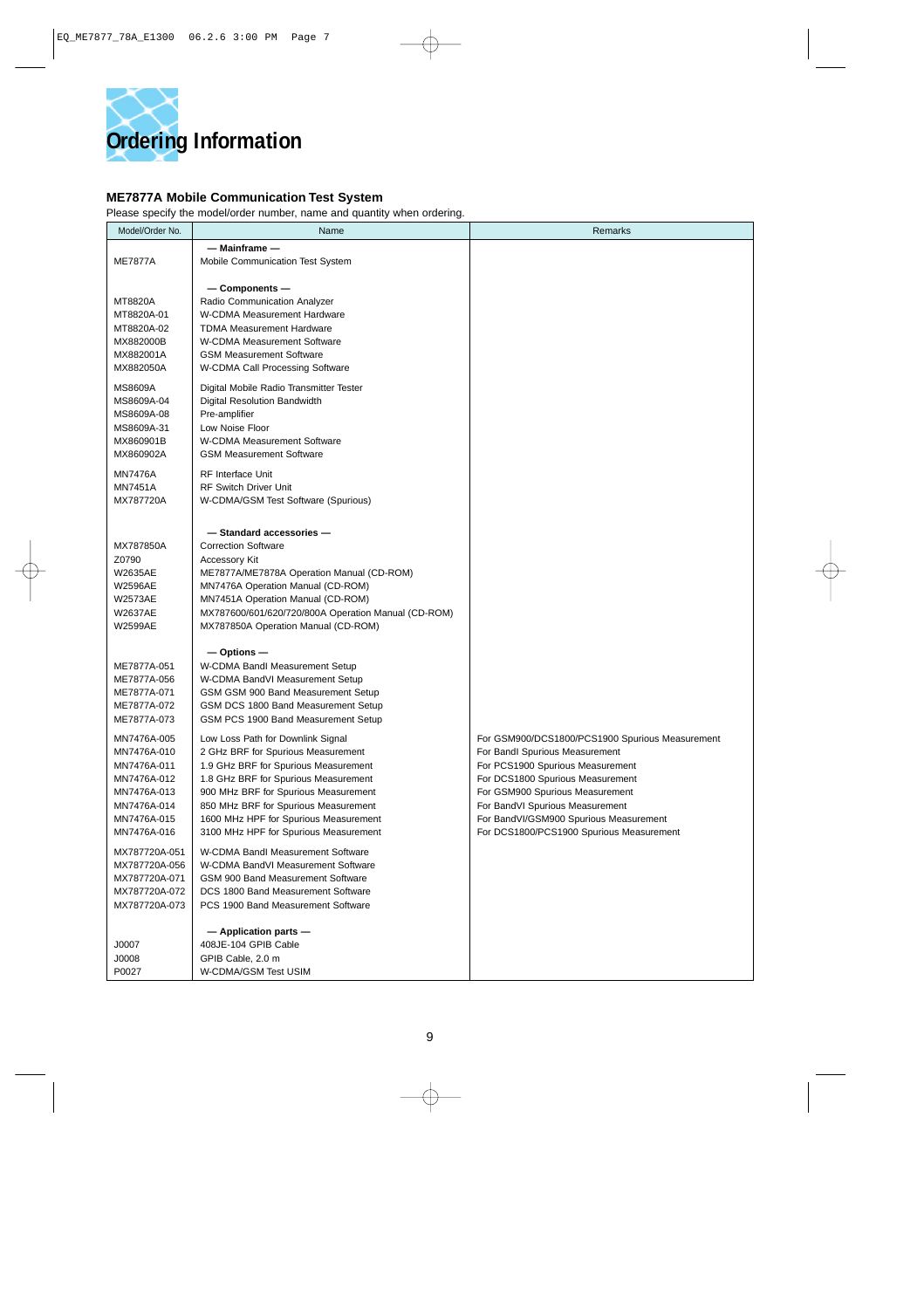

#### **ME7877A Mobile Communication Test System**

Please specify the model/order number, name and quantity when ordering.

| Model/Order No.                                                                                                      | Name                                                                                                                                                                                                                                                                                                                      | Remarks                                                                                                                                                                                                                                                                                                               |
|----------------------------------------------------------------------------------------------------------------------|---------------------------------------------------------------------------------------------------------------------------------------------------------------------------------------------------------------------------------------------------------------------------------------------------------------------------|-----------------------------------------------------------------------------------------------------------------------------------------------------------------------------------------------------------------------------------------------------------------------------------------------------------------------|
| <b>ME7877A</b>                                                                                                       | — Mainframe —<br>Mobile Communication Test System                                                                                                                                                                                                                                                                         |                                                                                                                                                                                                                                                                                                                       |
| MT8820A<br>MT8820A-01<br>MT8820A-02<br>MX882000B<br>MX882001A<br>MX882050A                                           | $-$ Components $-$<br>Radio Communication Analyzer<br>W-CDMA Measurement Hardware<br><b>TDMA Measurement Hardware</b><br>W-CDMA Measurement Software<br><b>GSM Measurement Software</b><br>W-CDMA Call Processing Software                                                                                                |                                                                                                                                                                                                                                                                                                                       |
| <b>MS8609A</b><br>MS8609A-04<br>MS8609A-08<br>MS8609A-31<br>MX860901B<br>MX860902A                                   | Digital Mobile Radio Transmitter Tester<br>Digital Resolution Bandwidth<br>Pre-amplifier<br>Low Noise Floor<br><b>W-CDMA Measurement Software</b><br><b>GSM Measurement Software</b>                                                                                                                                      |                                                                                                                                                                                                                                                                                                                       |
| <b>MN7476A</b><br><b>MN7451A</b><br>MX787720A                                                                        | <b>RF</b> Interface Unit<br><b>RF Switch Driver Unit</b><br>W-CDMA/GSM Test Software (Spurious)                                                                                                                                                                                                                           |                                                                                                                                                                                                                                                                                                                       |
| MX787850A<br>Z0790<br><b>W2635AE</b><br><b>W2596AE</b><br><b>W2573AE</b><br><b>W2637AE</b><br><b>W2599AE</b>         | - Standard accessories-<br><b>Correction Software</b><br>Accessory Kit<br>ME7877A/ME7878A Operation Manual (CD-ROM)<br>MN7476A Operation Manual (CD-ROM)<br>MN7451A Operation Manual (CD-ROM)<br>MX787600/601/620/720/800A Operation Manual (CD-ROM)<br>MX787850A Operation Manual (CD-ROM)                               |                                                                                                                                                                                                                                                                                                                       |
| ME7877A-051<br>ME7877A-056<br>ME7877A-071<br>ME7877A-072<br>ME7877A-073                                              | $-$ Options $-$<br>W-CDMA Bandl Measurement Setup<br>W-CDMA BandVI Measurement Setup<br>GSM GSM 900 Band Measurement Setup<br>GSM DCS 1800 Band Measurement Setup<br>GSM PCS 1900 Band Measurement Setup                                                                                                                  |                                                                                                                                                                                                                                                                                                                       |
| MN7476A-005<br>MN7476A-010<br>MN7476A-011<br>MN7476A-012<br>MN7476A-013<br>MN7476A-014<br>MN7476A-015<br>MN7476A-016 | Low Loss Path for Downlink Signal<br>2 GHz BRF for Spurious Measurement<br>1.9 GHz BRF for Spurious Measurement<br>1.8 GHz BRF for Spurious Measurement<br>900 MHz BRF for Spurious Measurement<br>850 MHz BRF for Spurious Measurement<br>1600 MHz HPF for Spurious Measurement<br>3100 MHz HPF for Spurious Measurement | For GSM900/DCS1800/PCS1900 Spurious Measurement<br>For Bandl Spurious Measurement<br>For PCS1900 Spurious Measurement<br>For DCS1800 Spurious Measurement<br>For GSM900 Spurious Measurement<br>For BandVI Spurious Measurement<br>For BandVI/GSM900 Spurious Measurement<br>For DCS1800/PCS1900 Spurious Measurement |
| MX787720A-051<br>MX787720A-056<br>MX787720A-071<br>MX787720A-072<br>MX787720A-073                                    | W-CDMA Bandl Measurement Software<br>W-CDMA BandVI Measurement Software<br>GSM 900 Band Measurement Software<br>DCS 1800 Band Measurement Software<br>PCS 1900 Band Measurement Software                                                                                                                                  |                                                                                                                                                                                                                                                                                                                       |
| J0007<br>J0008<br>P0027                                                                                              | $-$ Application parts $-$<br>408JE-104 GPIB Cable<br>GPIB Cable, 2.0 m<br>W-CDMA/GSM Test USIM                                                                                                                                                                                                                            |                                                                                                                                                                                                                                                                                                                       |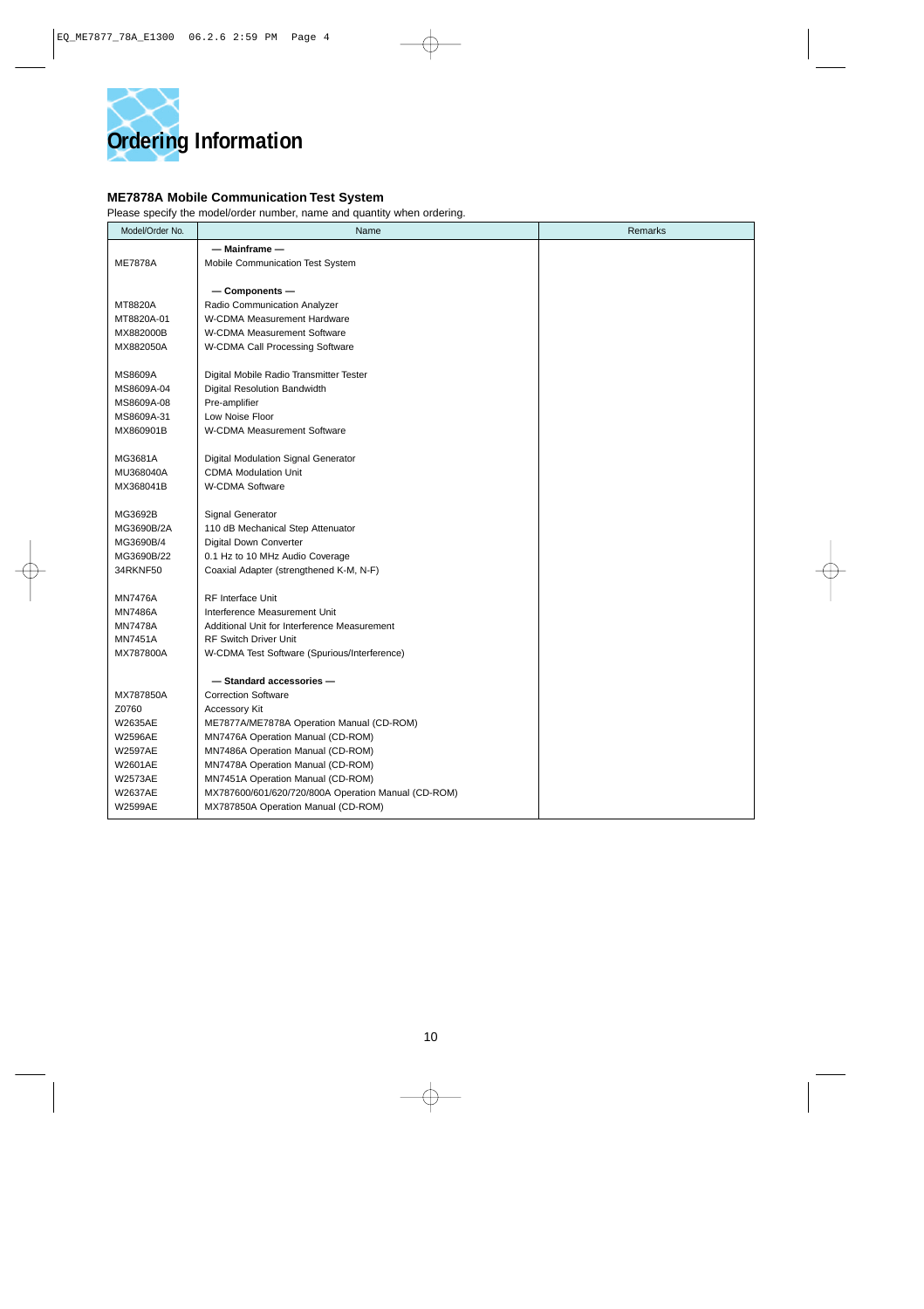

#### **ME7878A Mobile Communication Test System**

Please specify the model/order number, name and quantity when ordering.

| Model/Order No. | Name                                                | Remarks |
|-----------------|-----------------------------------------------------|---------|
|                 | $-$ Mainframe $-$                                   |         |
| <b>ME7878A</b>  | Mobile Communication Test System                    |         |
|                 |                                                     |         |
|                 | $-$ Components $-$                                  |         |
| MT8820A         | Radio Communication Analyzer                        |         |
| MT8820A-01      | W-CDMA Measurement Hardware                         |         |
| MX882000B       | W-CDMA Measurement Software                         |         |
| MX882050A       | W-CDMA Call Processing Software                     |         |
| MS8609A         | Digital Mobile Radio Transmitter Tester             |         |
| MS8609A-04      | Digital Resolution Bandwidth                        |         |
| MS8609A-08      | Pre-amplifier                                       |         |
| MS8609A-31      | Low Noise Floor                                     |         |
| MX860901B       | W-CDMA Measurement Software                         |         |
|                 |                                                     |         |
| MG3681A         | Digital Modulation Signal Generator                 |         |
| MU368040A       | <b>CDMA Modulation Unit</b>                         |         |
| MX368041B       | W-CDMA Software                                     |         |
|                 |                                                     |         |
| MG3692B         | <b>Signal Generator</b>                             |         |
| MG3690B/2A      | 110 dB Mechanical Step Attenuator                   |         |
| MG3690B/4       | Digital Down Converter                              |         |
| MG3690B/22      | 0.1 Hz to 10 MHz Audio Coverage                     |         |
| 34RKNF50        | Coaxial Adapter (strengthened K-M, N-F)             |         |
| <b>MN7476A</b>  | <b>RF Interface Unit</b>                            |         |
| <b>MN7486A</b>  | Interference Measurement Unit                       |         |
| <b>MN7478A</b>  | Additional Unit for Interference Measurement        |         |
| <b>MN7451A</b>  | <b>RF Switch Driver Unit</b>                        |         |
| MX787800A       | W-CDMA Test Software (Spurious/Interference)        |         |
|                 |                                                     |         |
|                 | - Standard accessories-                             |         |
| MX787850A       | <b>Correction Software</b>                          |         |
| Z0760           | <b>Accessory Kit</b>                                |         |
| W2635AE         | ME7877A/ME7878A Operation Manual (CD-ROM)           |         |
| <b>W2596AE</b>  | MN7476A Operation Manual (CD-ROM)                   |         |
| <b>W2597AE</b>  | MN7486A Operation Manual (CD-ROM)                   |         |
| W2601AE         | MN7478A Operation Manual (CD-ROM)                   |         |
| <b>W2573AE</b>  | MN7451A Operation Manual (CD-ROM)                   |         |
| <b>W2637AE</b>  | MX787600/601/620/720/800A Operation Manual (CD-ROM) |         |
| W2599AE         | MX787850A Operation Manual (CD-ROM)                 |         |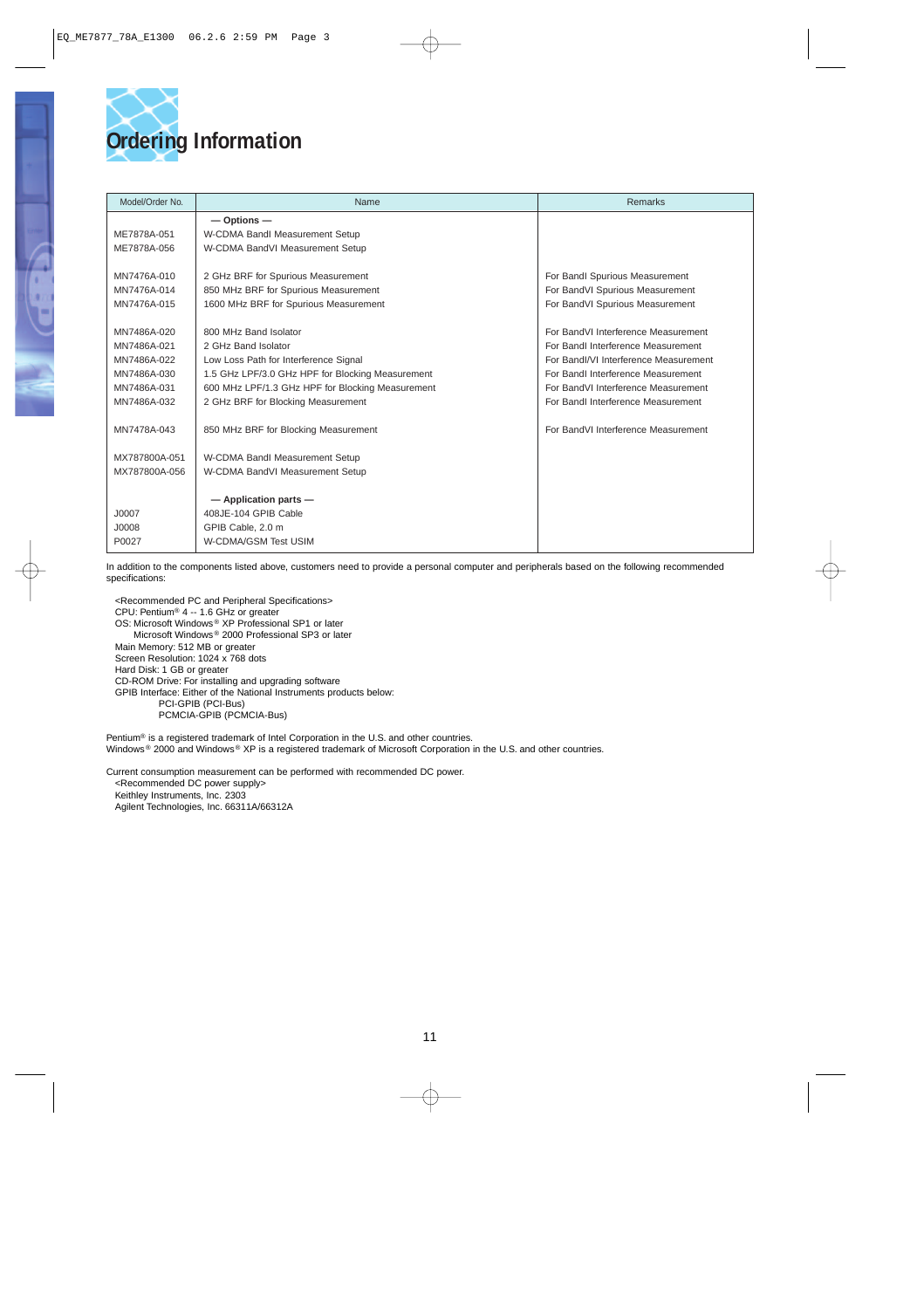

| Model/Order No. | Name                                             | <b>Remarks</b>                        |
|-----------------|--------------------------------------------------|---------------------------------------|
|                 | $-$ Options $-$                                  |                                       |
| ME7878A-051     | W-CDMA Bandl Measurement Setup                   |                                       |
| ME7878A-056     | W-CDMA BandVI Measurement Setup                  |                                       |
|                 |                                                  |                                       |
| MN7476A-010     | 2 GHz BRF for Spurious Measurement               | For Bandl Spurious Measurement        |
| MN7476A-014     | 850 MHz BRF for Spurious Measurement             | For BandVI Spurious Measurement       |
| MN7476A-015     | 1600 MHz BRF for Spurious Measurement            | For BandVI Spurious Measurement       |
|                 |                                                  |                                       |
| MN7486A-020     | 800 MHz Band Isolator                            | For BandVI Interference Measurement   |
| MN7486A-021     | 2 GHz Band Isolator                              | For Bandl Interference Measurement    |
| MN7486A-022     | Low Loss Path for Interference Signal            | For Bandl/VI Interference Measurement |
| MN7486A-030     | 1.5 GHz LPF/3.0 GHz HPF for Blocking Measurement | For Bandl Interference Measurement    |
| MN7486A-031     | 600 MHz LPF/1.3 GHz HPF for Blocking Measurement | For BandVI Interference Measurement   |
| MN7486A-032     | 2 GHz BRF for Blocking Measurement               | For Bandl Interference Measurement    |
|                 |                                                  |                                       |
| MN7478A-043     | 850 MHz BRF for Blocking Measurement             | For BandVI Interference Measurement   |
|                 |                                                  |                                       |
| MX787800A-051   | W-CDMA Bandl Measurement Setup                   |                                       |
| MX787800A-056   | W-CDMA BandVI Measurement Setup                  |                                       |
|                 |                                                  |                                       |
|                 | $-$ Application parts $-$                        |                                       |
| J0007           | 408JE-104 GPIB Cable                             |                                       |
| J0008           | GPIB Cable, 2.0 m                                |                                       |
| P0027           | W-CDMA/GSM Test USIM                             |                                       |

In addition to the components listed above, customers need to provide a personal computer and peripherals based on the following recommended specifications:

<Recommended PC and Peripheral Specifications> CPU: Pentium® 4 -- 1.6 GHz or greater OS: Microsoft Windows ® XP Professional SP1 or later Microsoft Windows ® 2000 Professional SP3 or later Main Memory: 512 MB or greater Screen Resolution: 1024 x 768 dots Hard Disk: 1 GB or greater CD-ROM Drive: For installing and upgrading software GPIB Interface: Either of the National Instruments products below: PCI-GPIB (PCI-Bus) PCMCIA-GPIB (PCMCIA-Bus)

Pentium® is a registered trademark of Intel Corporation in the U.S. and other countries. Windows ® 2000 and Windows ® XP is a registered trademark of Microsoft Corporation in the U.S. and other countries.

Current consumption measurement can be performed with recommended DC power. <Recommended DC power supply> Keithley Instruments, Inc. 2303

Agilent Technologies, Inc. 66311A/66312A